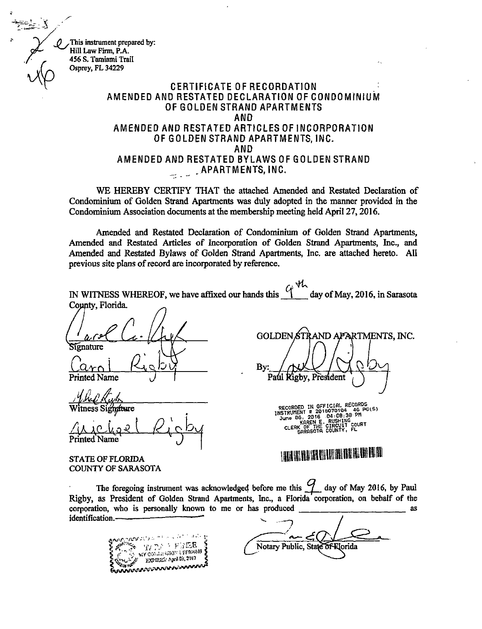This instrument prepared by: Hill Law Firm, P.A. 456 S. Tamiami Trail Osprey, FL 34229

#### CERTIFICATE OF RECORDATION AMENDED AND RESTATED DECLARATION OF CONDOMINIUM OF GOLDEN STRAND APARTMENTS AND AMENDED AND RESTATED ARTICLES OF INCORPORATION OF GOLDEN STRAND APARTMENTS, INC. AND AMENDED AND RESTATED BYLAWS OF GOLDEN STRAND  $\sim$   $\sim$   $APAH$  i MENTS, INC.

WE HEREBY CERTIFY THAT the attached Amended and Restated Declaration of Condominium of Golden Strand Apartments was duly adopted in the manner provided in the Condominium Association documents at the membership meeting held April 27, 2016.

Amended and Restated Declaration of Condominium of Golden Strand Apartments, Amended and Restated Articles of Incorporation of Golden Strand Apartments, Inc., and Amended and Restated Bylaws of Golden Strand Apartments, Inc. are attached hereto. All previous site plans of record are incorporated by reference.

 $\zeta_i$  y h IN WITNESS WHEREOF, we have affixed our hands this i day of May, 2016, in Sarasota County, Florida. **GOLDEN STR** AND APARTMENTS, INC. Signature By. Curn I Name Paul **Xigby, President** RECORDED IN OFFICIAL RECORDS Witness Si June 06, 2010 E. RUSHING  $A$ CLERK OF THE CIRCUIT COURT Printed Name 111111111111111111111111111111311111111

STATE OF FLORIDA COUNTY OF SARASOTA

The foregoing instrument was acknowledged before me this  $\frac{q}{q}$  day of May 2016, by Paul Rigby, as President of Golden Strand Apartments, Inc., a Florida corporation, on behalf of the corporation, who is personally known to me or has produced  $\frac{1}{\sqrt{1-\frac{1}{n}}}\left\vert \frac{1}{\sqrt{n}}\right\vert$  as identification.

 $\sum_{i=1}^{n}$  my commission appears to  $\delta$ "C" EXPIRE Apollo, LAAN AND AND THE TABLE TO THE TABLE THAT THE TABLE TO THE TABLE TO THE TABLE

Notary Public, State of Riorida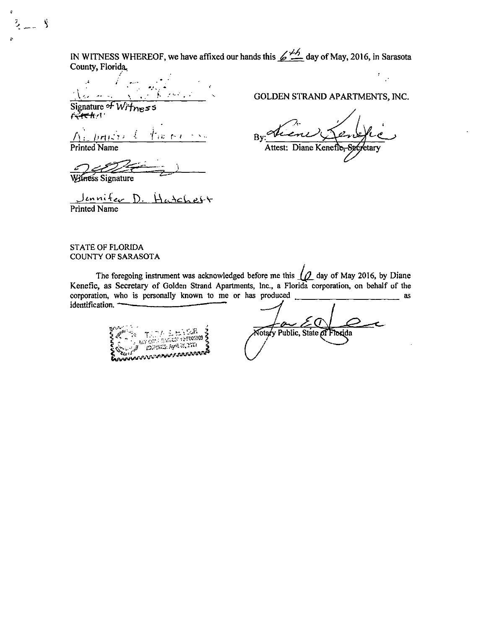IN WITNESS WHEREOF, we have affixed our hands this  $\cancel{\cancel{4.4}}$  day of May, 2016, in Sarasota County, Florida.

Signature of  $W<sub>i</sub>$  fress  $64$ 

 $Brile$  $\bigwedge$ ំពេកត

Printed Name

¢

 $\ddot{\phantom{0}}$ 

Ĵ,

<u>e: 17'e</u>

Wilness Signature

Jennifer D. Hatchett Printed Name

GOLDEN STRAND APARTMENTS, INC.

Bv **Secretary** Attest: Diane Kenefie

#### STATE OF FLORIDA COUNTY OF SARASOTA

The foregoing instrument was acknowledged before me this  $\mu$  day of May 2016, by Diane Kenefic, as Secretary of Golden Strand Apartments, Inc., a Florida corporation, on behalf of the corporation, who is personally known to me or has produced  $\sim$ identification.

Echanis in 1971<br>**Charlian varmandele kon** 

Notary Public, State of Florida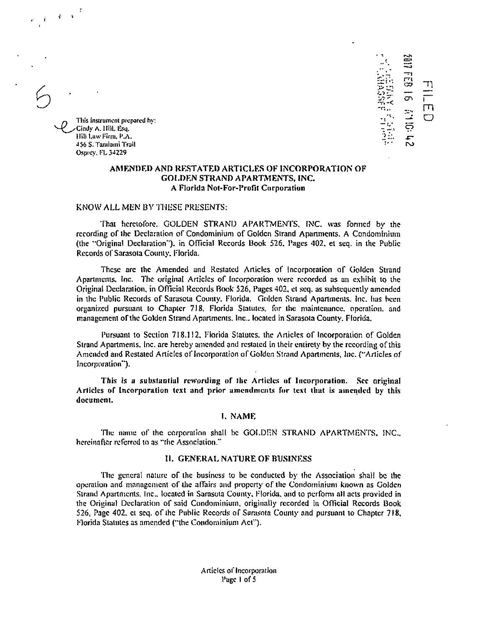$\mathbf{z}$ 

This instrument prepared by: Cindy A. Hill, Esq. Hill Law Firm, P.A. 456 S. Tantiami Trail Osprey, FL 34229

#### AMENDED AND RESTATED ARTICLES OF INCORPORATION OF **GOLDEN STRAND APARTMENTS, INC.** A Florida Not-For-Profit Corporation

10110:

 $\Box$ 

#### KNOW ALL MEN BY THESE PRESENTS:

That heretofore. GOLDEN STRAND APARTMENTS, INC. was formed by the recording of the Declaration of Condominium of Golden Strand Apartments, A Condominium (the "Original Declaration"), in Official Records Book 526, Pages 402, et seq. in the Public Records of Sarasota County, Florida.

These are the Amended and Restated Articles of Incorporation of Golden Strand Apartments, Inc. The original Articles of Incorporation were recorded as an exhibit to the Original Declaration, in Official Records Book 526, Pages 402, et seq. as subsequently amended in the Public Records of Sarasota County, Florida. Golden Strand Apartments, Inc. has been organized nursuant to Chapter 718. Florida Statutes, for the maintenance, operation, and management of the Golden Strand Apartments, Inc., located in Sarasota County, Florida,

Pursuant to Section 718.112, Florida Statutes, the Articles of Incorporation of Golden Strand Apartments, Inc. are hereby amended and restated in their entirety by the recording of this Amended and Restated Articles of Incorporation of Golden Strand Apartments, Inc. ("Articles of Incorporation").

This is a substantial rewording of the Articles of Incorporation. See original Articles of Incorporation text and prior amendments for text that is amended by this document.

#### I. NAME

The name of the corporation shall be GOLDEN STRAND APARTMENTS, INC., hereinafter referred to as "the Association."

#### **II. GENERAL NATURE OF BUSINESS**

The general nature of the business to be conducted by the Association shall be the operation and management of the affairs and property of the Condominium known as Golden Strand Apartments, Inc., located in Sarasota County, Florida, and to perform all acts provided in the Original Declaration of said Condominium, originally recorded in Official Records Book 526, Page 402, et seq. of the Public Records of Sarasota County and pursuant to Chapter 718, Florida Statutes as amended ("the Condominium Act").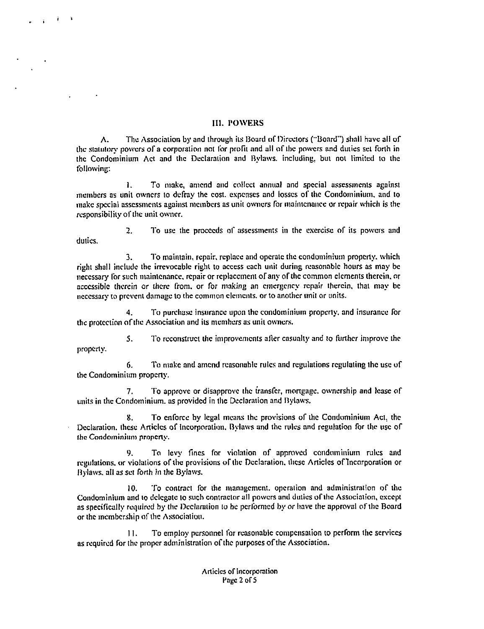#### III. POWERS

A. The Association by and through its Board of Directors ("Board") shall have all of the statutory powers of a corporation not for profit and all of the powers and duties set forth in the Condominium Act and the Declaration and Bylaws. including, but not limited to the following:

1. To make, amend and collect annual and special assessments against members as unit owners to defray the cost. expenses and losses of the Condominium, and to make special assessments against members as unit owners for maintenance or repair which is the responsibility of the unit owner.

2. To use the proceeds of assessments in the exercise of its powers and duties.

3. To maintain, repair. replace and operate the condominium property. which right shall include the irrevocable right to access each unit during reasonable hours as may be necessary for such maintenance, repair or replacement of any or the common elements therein, or accessible therein or there from, or for making an emergency repair therein, that may be necessary to prevent damage to the common elements. or to another unit or units.

4. To purchase insurance upon the condominium property, and insurance for the protection of the Association and its members as unit owners.

5. To reconstruct the improvements aller casualty and to further improve the property.

6. To make and amend reasonable rules and regulations regulating the use of the Condominium property.

7. To approve or disapprove the transfer, mortgage. ownership and lease of units in the Condominium. as provided in the Declaration and Bylaws.

8. To enforce by legal means the provisions of the Condominium Act, the Declaration. these Articles of Incorporation. Bylaws and the rules and regulation for the use of the Condominium property.

9. To levy fines for violation of approved condominium rules and regulations, or violations of the provisions of the Declaration, these Articles of 'Incorporation or Bylaws. all as set forth in the Bylaws.

10. To contract for the management. operation and administration of the Condominium and to delegate to such contractor all powers and duties of the Association, except as specifically required by the Declaration to be performed by or have the approval of the Board or the membership of the Association.

11. To employ personnel for reasonable compensation to perform the services as required for the proper administration of the purposes of the Association.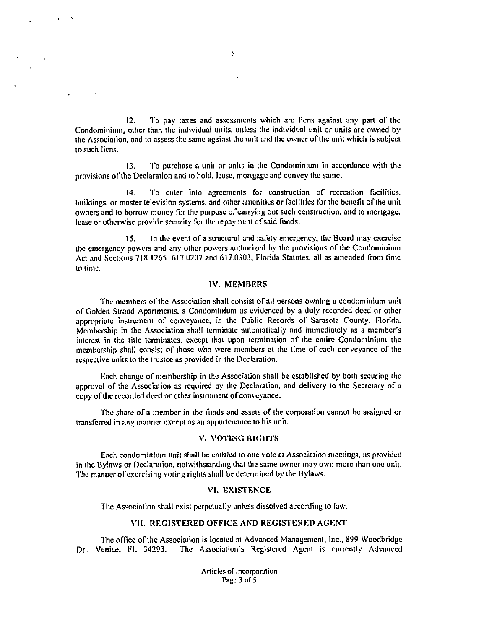12. To pay taxes and assessments which are liens against any part of the Condominium, other than the individual units. unless the individual unit or units are owned by the Association, and to assess the same against the unit and the owner of the unit which is subject to such liens.

 $\boldsymbol{\lambda}$ 

13. To purchase a unit or units in the Condominium in accordance with the provisions of the Declaration and to hold, lease, mortgage and convey the same.

14. To enter into agreements for construction of recreation facilities. buildings. or master television systems. and other amenities or facilities for the benefit of the unit owners and to borrow money for the purpose of carrying out such construction. and to mortgage. lease or otherwise provide security for the repayment of said funds.

15. In the event of a structural and safety emergency, the Board may exercise the emergency powers and any other powers authorized by the provisions of the Condominium Act and Sections 718.1265. 617.0207 and 617.0303. Florida Statutes. all as amended from time to lime.

#### IV. MEMBERS

The members of the Association shall consist of all persons owning a condominium unit of Golden Strand Apartments, a Condominium as evidenced by a duly recorded deed or other appropriate instrument of conveyance, in the Public Records of Sarasota County. Florida. Membership in the Association shall terminate automatically and immediately as a member's interest in the title terminates. except that upon termination of the entire Condominium the membership shall consist of those who were members at the time of each conveyance of the respective units to the trustee as provided in the Declaration.

Each change of membership in the Association shall be established by both securing the approval of the Association as required by the Declaration, and delivery to the Secretary of a copy of the recorded deed or other instrument of conveyance.

The share of a member in the funds and assets of the corporation cannot be assigned or transferred in any manner except as an appurtenance to his unit.

#### V. VOTING RIGHTS

Each condominium unit shall be entitled to one vote al Association meetings, as provided in the Bylaws or Declaration. notwithstanding that the same owner may own more than one unit. The manner of exercising voting rights shall be determined by the Bylaws.

#### VI. EXISTENCE

The Association shall exist perpetually unless dissolved according to law.

#### VII. REGISTERED OFFICE AND REGISTERED AGENT

The office of the Association is located at Advanced Management, Inc., 899 Woodbridge Dr.. Venice. FL 34293. The Association's Registered Agent is currently Advanced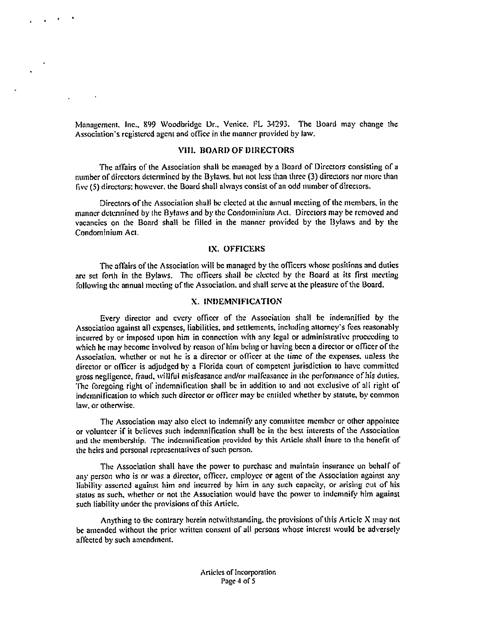Management. Inc., 899 Woodbridge Dr., Venice. FL 34293. The Board may change the Association's registered agent and office in the manner provided by law.

#### VIII. BOARD OF DIRECTORS

The affairs of the Association shall be managed by a Board of Directors consisting of a number of directors determined by the Bylaws, but not less than three (3) directors nor more than five (5) directors: however, the Board shall always consist of an odd number of directors.

Directors of the Association shall be elected at the annual meeting of the members, in the manner determined by the Bylaws and by the Condominium Act. Directors may be removed and vacancies on the Board shall be filled in the manner provided by the I3ylaws and by the Condominium Act.

#### IX. OFFICERS

The affairs of the Association will be managed by the officers whose positions and duties are set forth in the Bylaws. The officers shall be elected by the Board at its first meeting following the annual meeting of the Association. and shall serve at the pleasure of the Board.

#### X. INDEMNIFICATION

Every director and every officer of the Association shall be indemnified by the Association against all expenses, liabilities, and settlements, including attorney's fees reasonably incurred by or imposed upon him in connection with any legal or administrative proceeding to which he may become involved by reason of him being or having been a director or officer of the Association, whether or not he is a director or officer at the time of the expenses. unless the director or officer is adjudged by a Florida court of competent jurisdiction to have committed gross negligence, fraud, willful misfeasance and/or malfeasance in the performance of his duties. The foregoing right of indemnification shall be in addition to and not exclusive of all right of indemnification to which such director or officer may be entitled whether by statute, by common law, or otherwise.

The Association may also elect to indemnify any committee member or other appointee or volunteer if it believes such indemnification shall be in the best interests of the Association and the membership. The indemnification provided by this Article shall inure to the benefit of the heirs and personal representatives of such person.

The Association shall have the power to purchase and maintain insurance un behalf of any person who is or was a director, officer, employee or agent of the Association against any liability asserted against him and incurred by him in any such capacity, or arising out of his status as such, whether or not the Association would have the power to indemnify him against such liability under the provisions of this Article.

Anything to the contrary herein notwithstanding, the provisions of this Article X may not be amended without the prior written consent of all persons whose interest would be adversely affected by such amendment.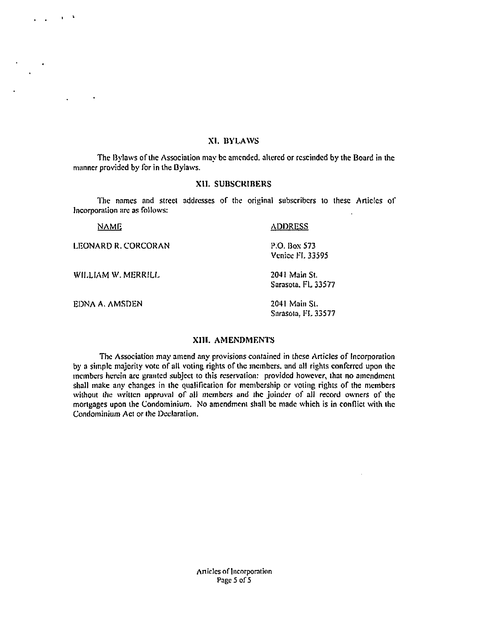#### XI. BYLAWS

The Bylaws of the Association may be amended. altered or rescinded by the Board in the manner provided by for in the Bylaws.

#### XII. SUBSCRIBERS

The names and street addresses of the original subscribers to these Articles of Incorporation are as follows:

| NAME                | <b>ADDRESS</b>                         |
|---------------------|----------------------------------------|
| LEONARD R. CORCORAN | P.O. Box 573<br><b>Venice FL 33595</b> |
| WILLIAM W. MERRILL  | 2041 Main St.<br>Sarasota, FL 33577    |
| EDNA A. AMSDEN      | 2041 Main St.                          |

 $\mathbf{u}$ 

 $\bullet$ 

#### XIII. AMENDMENTS

Sarasota, Fl. 33577

The Association may amend any provisions contained in these Articles of Incorporation by a simple majority vote of all voting rights of the members, and all rights conferred upon the members herein are granted subject to this reservation: provided however, that no amendment shall make any changes in the qualification for membership or voting rights of the members without the written approval of all members and the joinder of all record owners of the mortgages upon the Condominium. No amendment shall be made which is in conflict with the Condominium Act or the Declaration.

> Articles of Incorporation Page 5 of 5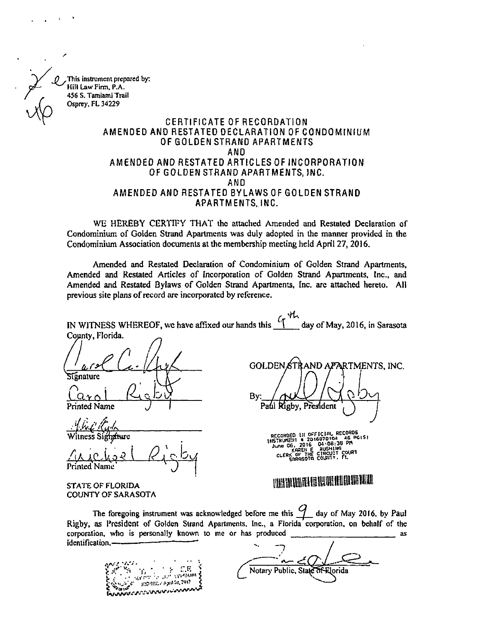This instrument prepared by: Hill Law Firm, P.A. 456 S. Tamiami Trail Osprey, FL 34229

#### CERTIFICATE OF RECORDATION AMENDED AND RESTATED DECLARATION OF CONDOMINIUM OF GOLDEN STRAND APARTMENTS AND AMENDED AND RESTATED ARTICLES OF INCORPORATION OF GOLDEN STRAND APARTMENTS, INC. AND AMENDED AND RESTATED BYLAWS OF GOLDEN STRAND APARTMENTS, INC.

WE HEREBY CERTIFY THAT the attached Amended and Restated Declaration of Condominium of Golden Strand Apartments was duly adopted in the manner provided in the Condominium Association documents at the membership meeting held April 27, 2016.

Amended and Restated Declaration of Condominium of Golden Strand Apartments, Amended and Restated Articles of Incorporation of Golden Strand Apartments, Inc., and Amended and Restated Bylaws of Golden Strand Apartments, Inc. arc attached hereto. All previous site plans of record are incorporated by reference.

| IN WITNESS WHEREOF, we have affixed our hands this "[day of May, 2016, in Sarasota |  |
|------------------------------------------------------------------------------------|--|
| County, Florida.                                                                   |  |

ignature

 ${\tt U}$ r $\wedge$  l Printed Name

mfture Witness Si

• • • $\Delta$ is A $c$  , kg  $\epsilon$ Printed Name

By: Paúi Rigby, President

GOLDEN STRAND APARTMENTS, INC.

J.

RECORDED IN OFFICIAL RECORDED<br>
INSTRUMENT & 201607010a 46 PGLS)<br>
Jung G6, 2016 04:08:38 PM<br>
Jung G6, 2016 RUSHING<br>
CLERK OF THE CIRCUIT COURT<br>
CLERK OF THE CIRITY. FL

### 1113111111M111111911111111111111

STATE OF FLORIDA COUNTY OF SARASOTA

The foregoing instrument was acknowledged before me this  $\mathcal{G}$  day of May 2016, by Paul Rigby, as President of Golden Strand Apartments. Inc., a Florida corporation, on behalf of the corporation, who is personally known to me or has produced  $\frac{1}{2}$  as  $\frac{1}{2}$  as identification.

 $\mathcal{E}$  is the set of  $\mathcal{E}$  of  $\mathcal{E}$   $\mathcal{E}$   $\mathcal{E}$   $\mathcal{E}$  $-15.63510$  $\cdot$   $\cdot$ 

Notary Public, State of Elorida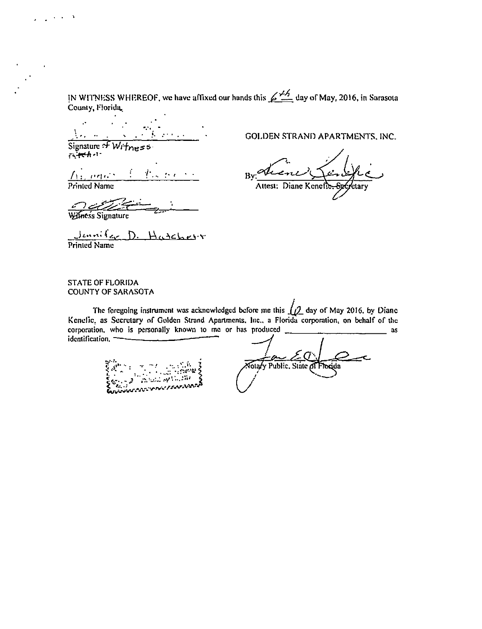IN WITNESS WHEREOF, we have affixed our hands this  $\cancel{\mathcal{L}}_{2}$  day of May, 2016, in Sarasota County, Florida,

 $\ddot{\cdot}$ Signature of  $W_{i+n+5}$ 

 $i$   $\sqrt{1 + c^2}$   $A - 1$ 

 $t_{\rm{max}}$  $A$  and  $\triangle$ **Printed Name** 

GOLDEN STRAND APARTMENTS, INC.

Attest: Diane Keneft

Wilness Signature

 $\sim 100$  km s  $^{-1}$ 

Jennifer D. Hatchesir

#### STATE OF FLORIDA **COUNTY OF SARASOTA**

The foregoing instrument was acknowledged before me this  $\Box$  day of May 2016, by Diane Kenefic, as Secretary of Golden Strand Apartments, Inc., a Florida corporation, on behalf of the corporation, who is personally known to me or has produced  $=$  as identification.

Notary Public. State of Florida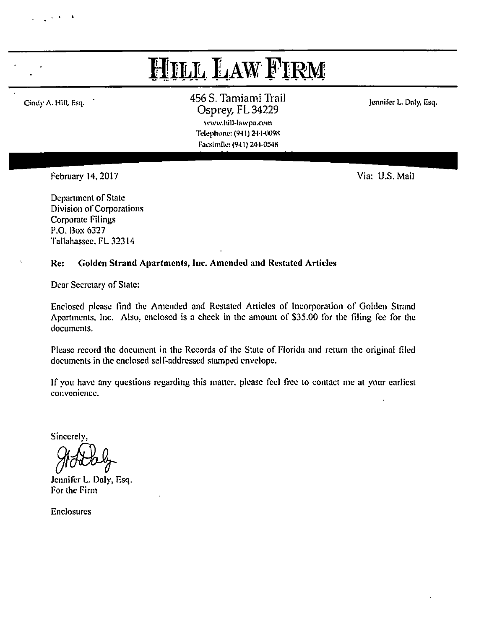## Hill Law Firm

Cindy A. Hill, Esq. • 456 S. Tamiami Trail Osprey, FL 34229 www.hill-lawpa.com

Jennifer L. Daly, Esq.

Telephone: (941) 244-0098 Facsimile: (941) 2444)548

February 14, 2017 Via: U.S. Mail

Department of State Division of Corporations Corporate Filings P.O. Box 6327 Tallahassee. FL 32314

#### Re: Golden Strand Apartments, Inc. Amended and Restated Articles

Dear Secretary of State:

Enclosed please find the Amended and Restated Articles of Incorporation of Golden Strand Apartments. Inc. Also, enclosed is a check in the amount of \$35.00 for the filing fee for the documents.

Please record the document in the Records of the State of Florida and return the original filed documents in the enclosed self-addressed stamped envelope.

If you have any questions regarding this matter, please feel free to contact me at your earliest convenience.

Sincerely,

Jennifer L. Daly, Esq. For the Firm

Enclosures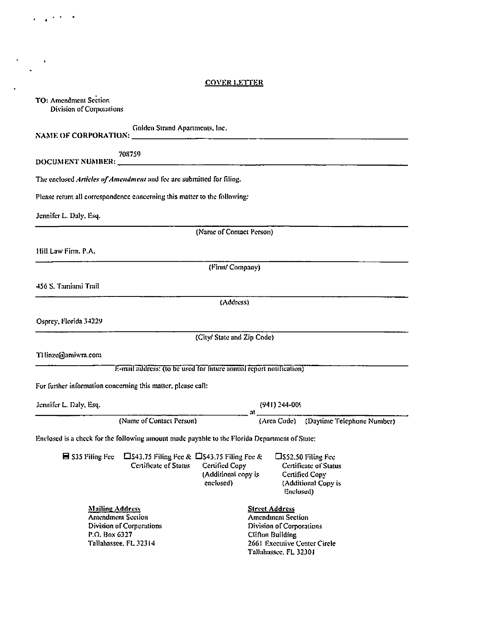#### COVER LETTER

 $\langle\hat{a}^{\dagger},\hat{a}^{\dagger}\hat{b}^{\dagger}\rangle$  ).

 $\mathcal{F}_{\mathcal{A}}(t)$  ,  $\mathcal{F}_{\mathcal{A}}(t)$ 

 $\sim 10^{11}$  km s  $^{-1}$ 

| TO: Amendment Section<br>Division of Corporations                                                                        |                                                                                                                                                                                                                          |
|--------------------------------------------------------------------------------------------------------------------------|--------------------------------------------------------------------------------------------------------------------------------------------------------------------------------------------------------------------------|
| Golden Strand Apartments, Inc.                                                                                           |                                                                                                                                                                                                                          |
| 708759                                                                                                                   |                                                                                                                                                                                                                          |
| The enclosed Articles of Amendment and fee are submitted for filing.                                                     |                                                                                                                                                                                                                          |
| Please return all correspondence concerning this matter to the following:                                                |                                                                                                                                                                                                                          |
| Jennifer L. Daly, Esq.                                                                                                   |                                                                                                                                                                                                                          |
|                                                                                                                          | (Name of Contact Person)                                                                                                                                                                                                 |
| Hill Law Firm, P.A.                                                                                                      |                                                                                                                                                                                                                          |
|                                                                                                                          | (Firm/ Company)                                                                                                                                                                                                          |
| 456 S. Tamiami Trail                                                                                                     |                                                                                                                                                                                                                          |
|                                                                                                                          | (Address)                                                                                                                                                                                                                |
| Osprey, Florida 34229                                                                                                    |                                                                                                                                                                                                                          |
|                                                                                                                          | (City/ State and Zip Code)                                                                                                                                                                                               |
| THinze@amiwra.com                                                                                                        |                                                                                                                                                                                                                          |
|                                                                                                                          | E-mail address: (to be used for future annual report notification)                                                                                                                                                       |
| For further information concerning this matter, please call:                                                             |                                                                                                                                                                                                                          |
| Jennifer L. Daly, Esq.                                                                                                   | $(941)$ 244-009                                                                                                                                                                                                          |
| (Name of Contact Person)                                                                                                 | (Area Code) (Daytime Telephone Number)                                                                                                                                                                                   |
| Enclosed is a check for the following amount made payable to the Florida Department of State:                            |                                                                                                                                                                                                                          |
| $\blacksquare$ \$35 Filing Fee<br>Certificate of Status                                                                  | $\square$ \$43.75 Filing Fee & $\square$ \$43.75 Filing Fee &<br>□S52.50 Filing Fee<br>Certified Copy<br>Certificate of Status<br>(Additional copy is<br>Certified Copy<br>enclosed)<br>(Additional Copy is<br>Euclosed) |
| <b>Mailing Address</b><br><b>Amendment Section</b><br>Division of Corporations<br>P.O. Box 6327<br>Tallahassee, FL 32314 | <b>Street Address</b><br><b>Amendment Section</b><br>Division of Corporations<br><b>Clifton Building</b><br>2661 Executive Center Circle<br>Tallahassee, FL 32301                                                        |